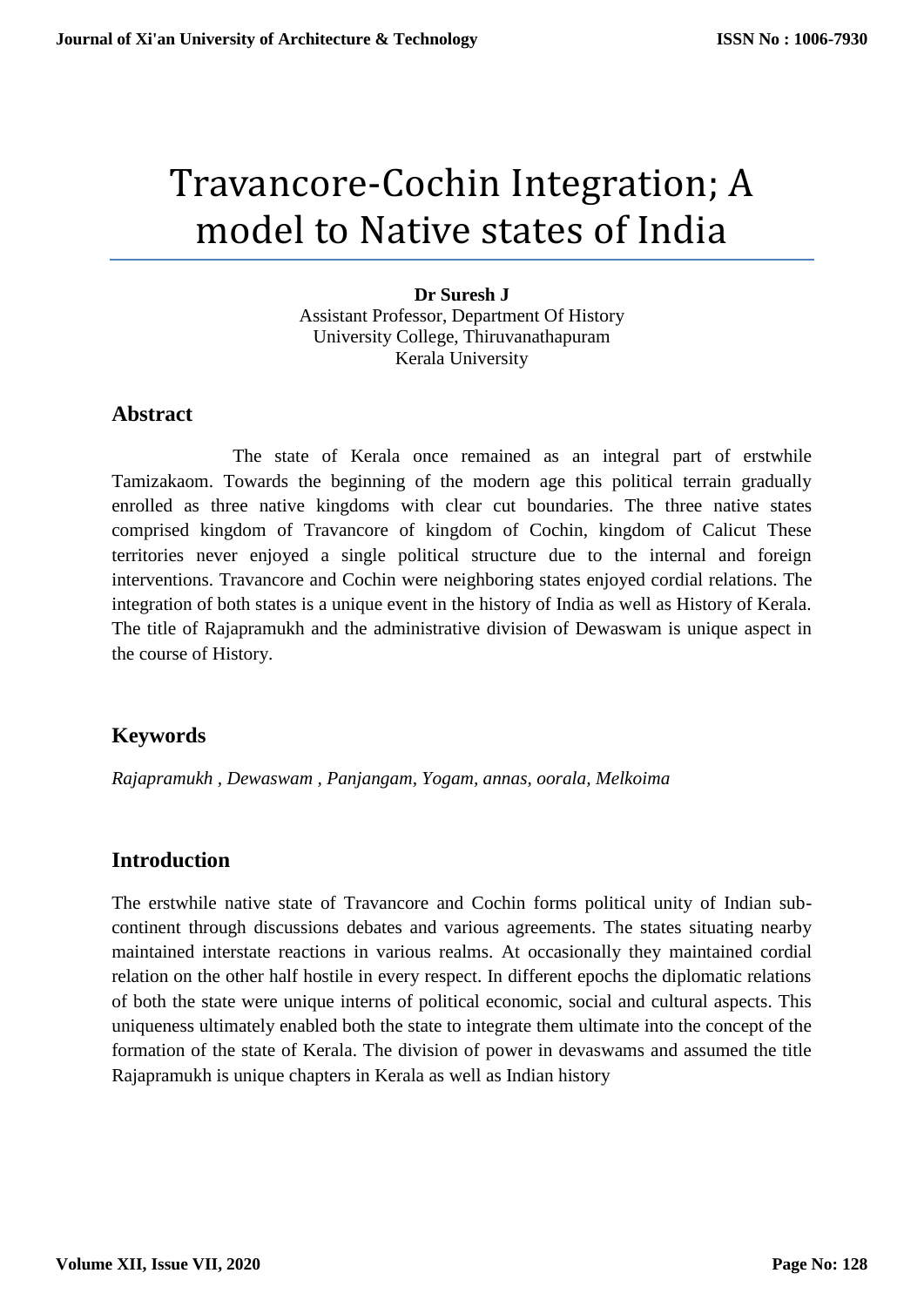# Travancore-Cochin Integration; A model to Native states of India

#### **Dr Suresh J**

Assistant Professor, Department Of History University College, Thiruvanathapuram Kerala University

#### **Abstract**

 The state of Kerala once remained as an integral part of erstwhile Tamizakaom. Towards the beginning of the modern age this political terrain gradually enrolled as three native kingdoms with clear cut boundaries. The three native states comprised kingdom of Travancore of kingdom of Cochin, kingdom of Calicut These territories never enjoyed a single political structure due to the internal and foreign interventions. Travancore and Cochin were neighboring states enjoyed cordial relations. The integration of both states is a unique event in the history of India as well as History of Kerala. The title of Rajapramukh and the administrative division of Dewaswam is unique aspect in the course of History.

#### **Keywords**

*Rajapramukh , Dewaswam , Panjangam, Yogam, annas, oorala, Melkoima*

#### **Introduction**

The erstwhile native state of Travancore and Cochin forms political unity of Indian subcontinent through discussions debates and various agreements. The states situating nearby maintained interstate reactions in various realms. At occasionally they maintained cordial relation on the other half hostile in every respect. In different epochs the diplomatic relations of both the state were unique interns of political economic, social and cultural aspects. This uniqueness ultimately enabled both the state to integrate them ultimate into the concept of the formation of the state of Kerala. The division of power in devaswams and assumed the title Rajapramukh is unique chapters in Kerala as well as Indian history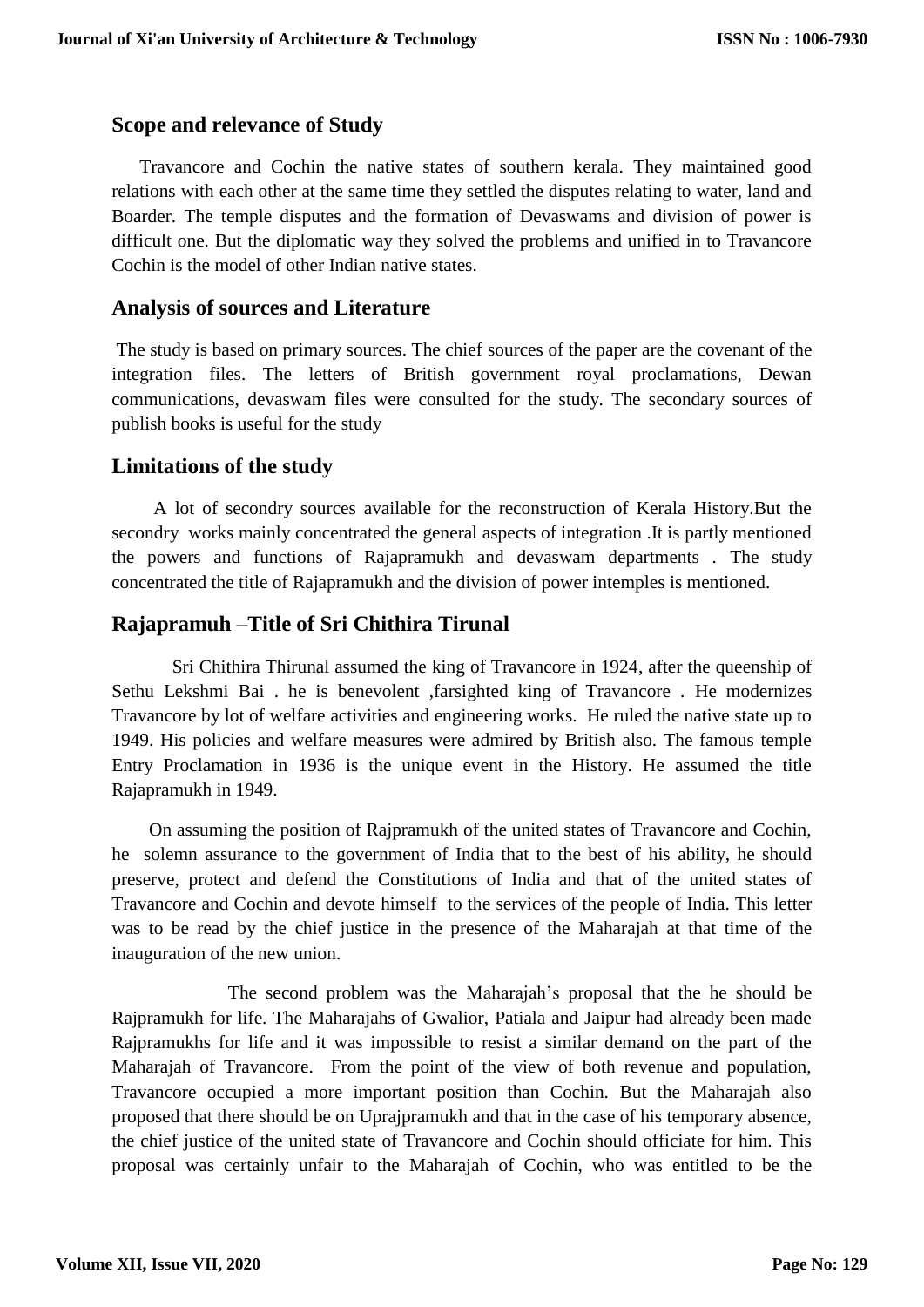#### **Scope and relevance of Study**

 Travancore and Cochin the native states of southern kerala. They maintained good relations with each other at the same time they settled the disputes relating to water, land and Boarder. The temple disputes and the formation of Devaswams and division of power is difficult one. But the diplomatic way they solved the problems and unified in to Travancore Cochin is the model of other Indian native states.

#### **Analysis of sources and Literature**

The study is based on primary sources. The chief sources of the paper are the covenant of the integration files. The letters of British government royal proclamations, Dewan communications, devaswam files were consulted for the study. The secondary sources of publish books is useful for the study

#### **Limitations of the study**

 A lot of secondry sources available for the reconstruction of Kerala History.But the secondry works mainly concentrated the general aspects of integration .It is partly mentioned the powers and functions of Rajapramukh and devaswam departments . The study concentrated the title of Rajapramukh and the division of power intemples is mentioned.

#### **Rajapramuh –Title of Sri Chithira Tirunal**

 Sri Chithira Thirunal assumed the king of Travancore in 1924, after the queenship of Sethu Lekshmi Bai . he is benevolent ,farsighted king of Travancore . He modernizes Travancore by lot of welfare activities and engineering works. He ruled the native state up to 1949. His policies and welfare measures were admired by British also. The famous temple Entry Proclamation in 1936 is the unique event in the History. He assumed the title Rajapramukh in 1949.

 On assuming the position of Rajpramukh of the united states of Travancore and Cochin, he solemn assurance to the government of India that to the best of his ability, he should preserve, protect and defend the Constitutions of India and that of the united states of Travancore and Cochin and devote himself to the services of the people of India. This letter was to be read by the chief justice in the presence of the Maharajah at that time of the inauguration of the new union.

 The second problem was the Maharajah's proposal that the he should be Rajpramukh for life. The Maharajahs of Gwalior, Patiala and Jaipur had already been made Rajpramukhs for life and it was impossible to resist a similar demand on the part of the Maharajah of Travancore. From the point of the view of both revenue and population, Travancore occupied a more important position than Cochin. But the Maharajah also proposed that there should be on Uprajpramukh and that in the case of his temporary absence, the chief justice of the united state of Travancore and Cochin should officiate for him. This proposal was certainly unfair to the Maharajah of Cochin, who was entitled to be the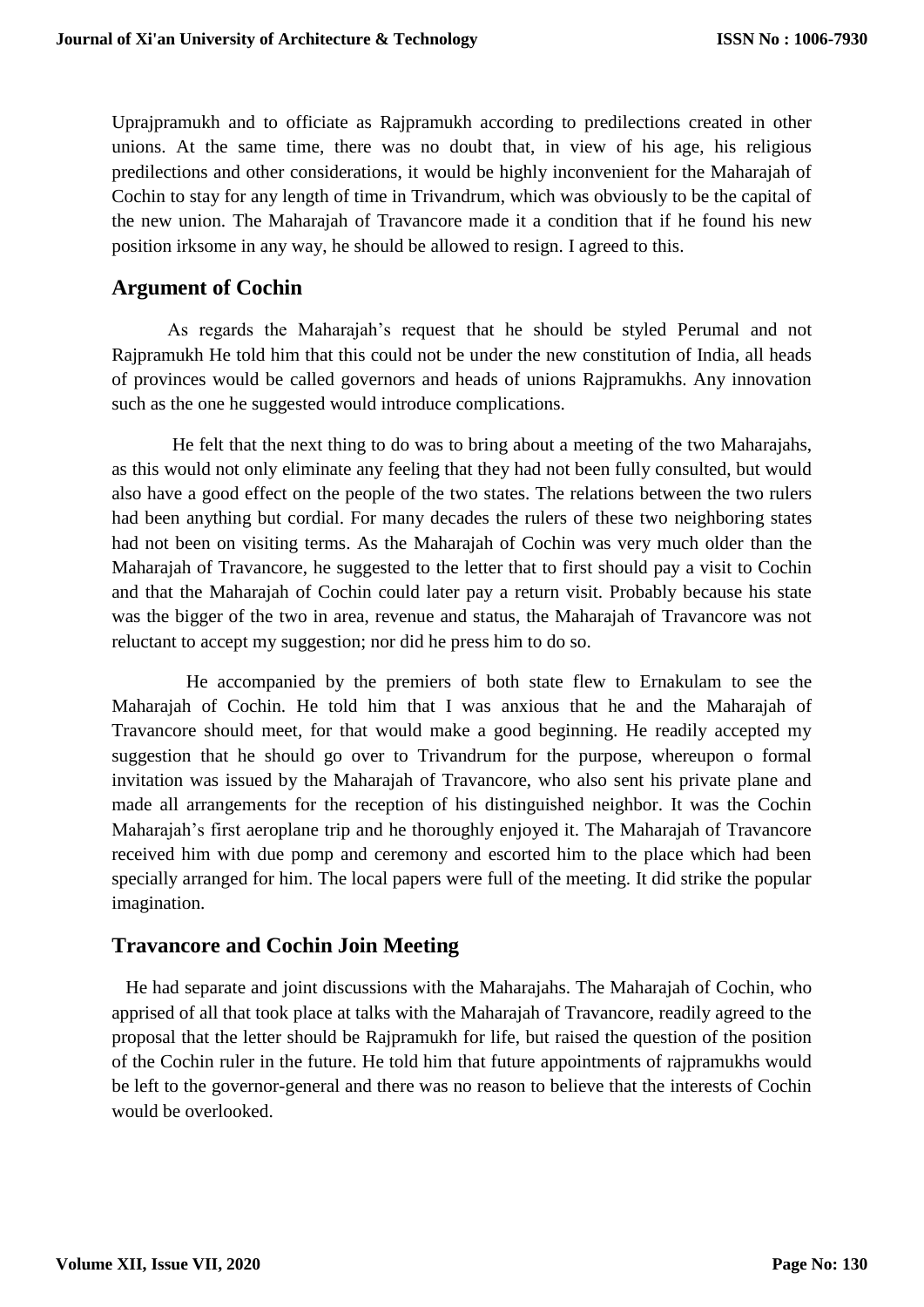Uprajpramukh and to officiate as Rajpramukh according to predilections created in other unions. At the same time, there was no doubt that, in view of his age, his religious predilections and other considerations, it would be highly inconvenient for the Maharajah of Cochin to stay for any length of time in Trivandrum, which was obviously to be the capital of the new union. The Maharajah of Travancore made it a condition that if he found his new position irksome in any way, he should be allowed to resign. I agreed to this.

### **Argument of Cochin**

 As regards the Maharajah's request that he should be styled Perumal and not Rajpramukh He told him that this could not be under the new constitution of India, all heads of provinces would be called governors and heads of unions Rajpramukhs. Any innovation such as the one he suggested would introduce complications.

 He felt that the next thing to do was to bring about a meeting of the two Maharajahs, as this would not only eliminate any feeling that they had not been fully consulted, but would also have a good effect on the people of the two states. The relations between the two rulers had been anything but cordial. For many decades the rulers of these two neighboring states had not been on visiting terms. As the Maharajah of Cochin was very much older than the Maharajah of Travancore, he suggested to the letter that to first should pay a visit to Cochin and that the Maharajah of Cochin could later pay a return visit. Probably because his state was the bigger of the two in area, revenue and status, the Maharajah of Travancore was not reluctant to accept my suggestion; nor did he press him to do so.

 He accompanied by the premiers of both state flew to Ernakulam to see the Maharajah of Cochin. He told him that I was anxious that he and the Maharajah of Travancore should meet, for that would make a good beginning. He readily accepted my suggestion that he should go over to Trivandrum for the purpose, whereupon o formal invitation was issued by the Maharajah of Travancore, who also sent his private plane and made all arrangements for the reception of his distinguished neighbor. It was the Cochin Maharajah's first aeroplane trip and he thoroughly enjoyed it. The Maharajah of Travancore received him with due pomp and ceremony and escorted him to the place which had been specially arranged for him. The local papers were full of the meeting. It did strike the popular imagination.

#### **Travancore and Cochin Join Meeting**

 He had separate and joint discussions with the Maharajahs. The Maharajah of Cochin, who apprised of all that took place at talks with the Maharajah of Travancore, readily agreed to the proposal that the letter should be Rajpramukh for life, but raised the question of the position of the Cochin ruler in the future. He told him that future appointments of rajpramukhs would be left to the governor-general and there was no reason to believe that the interests of Cochin would be overlooked.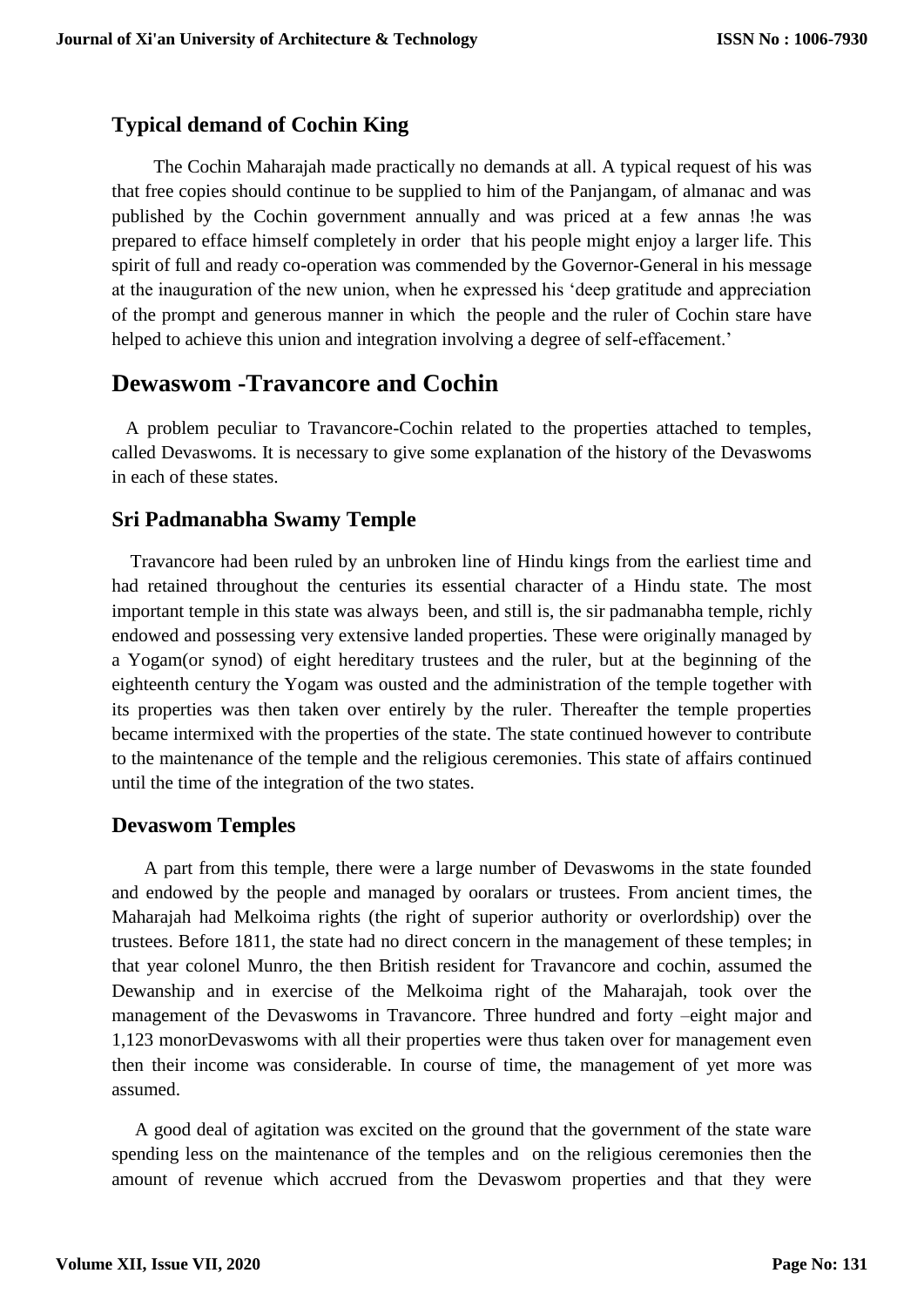#### **Typical demand of Cochin King**

 The Cochin Maharajah made practically no demands at all. A typical request of his was that free copies should continue to be supplied to him of the Panjangam, of almanac and was published by the Cochin government annually and was priced at a few annas !he was prepared to efface himself completely in order that his people might enjoy a larger life. This spirit of full and ready co-operation was commended by the Governor-General in his message at the inauguration of the new union, when he expressed his 'deep gratitude and appreciation of the prompt and generous manner in which the people and the ruler of Cochin stare have helped to achieve this union and integration involving a degree of self-effacement.'

## **Dewaswom -Travancore and Cochin**

 A problem peculiar to Travancore-Cochin related to the properties attached to temples, called Devaswoms. It is necessary to give some explanation of the history of the Devaswoms in each of these states.

#### **Sri Padmanabha Swamy Temple**

 Travancore had been ruled by an unbroken line of Hindu kings from the earliest time and had retained throughout the centuries its essential character of a Hindu state. The most important temple in this state was always been, and still is, the sir padmanabha temple, richly endowed and possessing very extensive landed properties. These were originally managed by a Yogam(or synod) of eight hereditary trustees and the ruler, but at the beginning of the eighteenth century the Yogam was ousted and the administration of the temple together with its properties was then taken over entirely by the ruler. Thereafter the temple properties became intermixed with the properties of the state. The state continued however to contribute to the maintenance of the temple and the religious ceremonies. This state of affairs continued until the time of the integration of the two states.

#### **Devaswom Temples**

 A part from this temple, there were a large number of Devaswoms in the state founded and endowed by the people and managed by ooralars or trustees. From ancient times, the Maharajah had Melkoima rights (the right of superior authority or overlordship) over the trustees. Before 1811, the state had no direct concern in the management of these temples; in that year colonel Munro, the then British resident for Travancore and cochin, assumed the Dewanship and in exercise of the Melkoima right of the Maharajah, took over the management of the Devaswoms in Travancore. Three hundred and forty –eight major and 1,123 monorDevaswoms with all their properties were thus taken over for management even then their income was considerable. In course of time, the management of yet more was assumed.

 A good deal of agitation was excited on the ground that the government of the state ware spending less on the maintenance of the temples and on the religious ceremonies then the amount of revenue which accrued from the Devaswom properties and that they were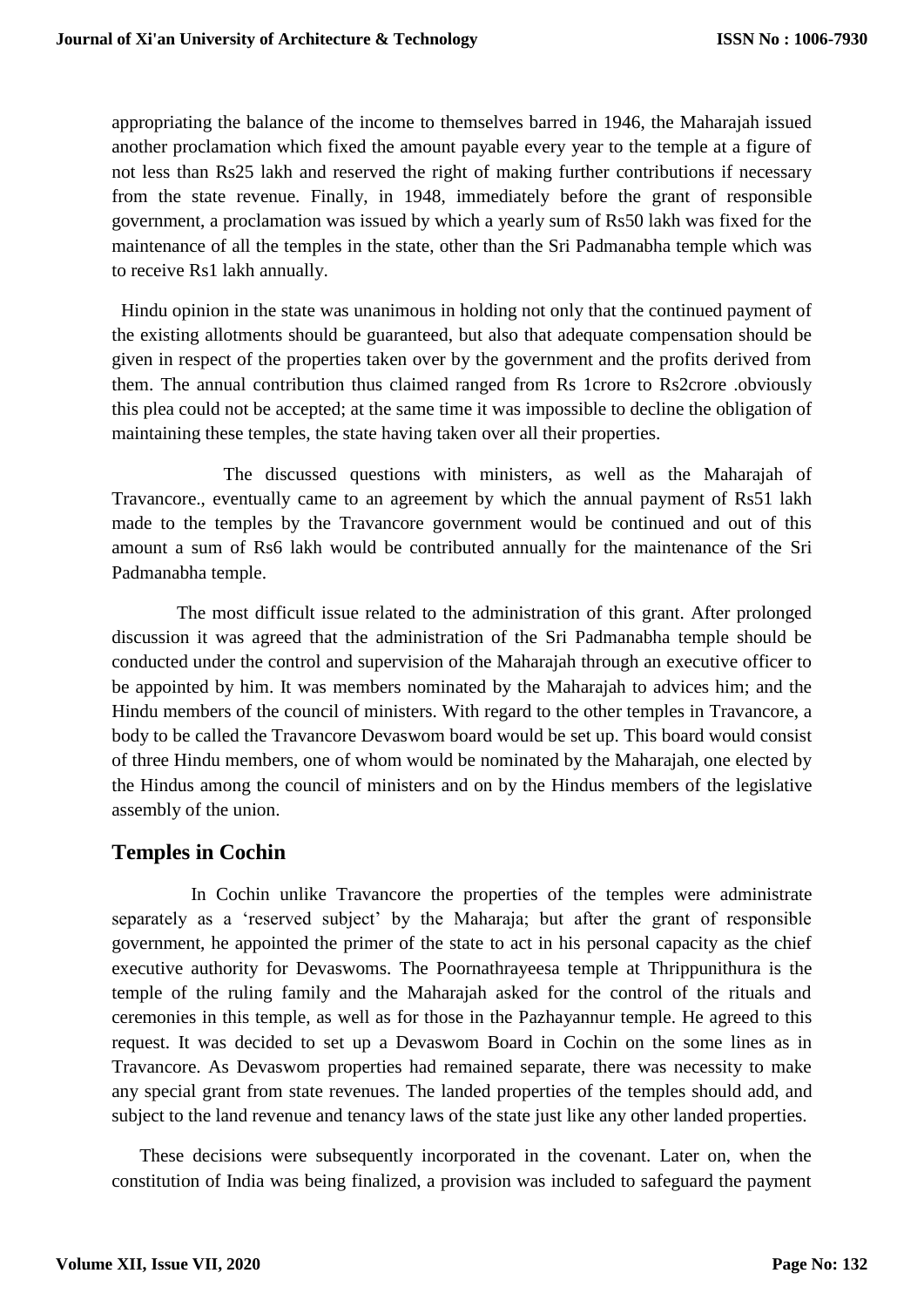appropriating the balance of the income to themselves barred in 1946, the Maharajah issued another proclamation which fixed the amount payable every year to the temple at a figure of not less than Rs25 lakh and reserved the right of making further contributions if necessary from the state revenue. Finally, in 1948, immediately before the grant of responsible government, a proclamation was issued by which a yearly sum of Rs50 lakh was fixed for the maintenance of all the temples in the state, other than the Sri Padmanabha temple which was to receive Rs1 lakh annually.

 Hindu opinion in the state was unanimous in holding not only that the continued payment of the existing allotments should be guaranteed, but also that adequate compensation should be given in respect of the properties taken over by the government and the profits derived from them. The annual contribution thus claimed ranged from Rs 1crore to Rs2crore .obviously this plea could not be accepted; at the same time it was impossible to decline the obligation of maintaining these temples, the state having taken over all their properties.

 The discussed questions with ministers, as well as the Maharajah of Travancore., eventually came to an agreement by which the annual payment of Rs51 lakh made to the temples by the Travancore government would be continued and out of this amount a sum of Rs6 lakh would be contributed annually for the maintenance of the Sri Padmanabha temple.

 The most difficult issue related to the administration of this grant. After prolonged discussion it was agreed that the administration of the Sri Padmanabha temple should be conducted under the control and supervision of the Maharajah through an executive officer to be appointed by him. It was members nominated by the Maharajah to advices him; and the Hindu members of the council of ministers. With regard to the other temples in Travancore, a body to be called the Travancore Devaswom board would be set up. This board would consist of three Hindu members, one of whom would be nominated by the Maharajah, one elected by the Hindus among the council of ministers and on by the Hindus members of the legislative assembly of the union.

#### **Temples in Cochin**

 In Cochin unlike Travancore the properties of the temples were administrate separately as a 'reserved subject' by the Maharaja; but after the grant of responsible government, he appointed the primer of the state to act in his personal capacity as the chief executive authority for Devaswoms. The Poornathrayeesa temple at Thrippunithura is the temple of the ruling family and the Maharajah asked for the control of the rituals and ceremonies in this temple, as well as for those in the Pazhayannur temple. He agreed to this request. It was decided to set up a Devaswom Board in Cochin on the some lines as in Travancore. As Devaswom properties had remained separate, there was necessity to make any special grant from state revenues. The landed properties of the temples should add, and subject to the land revenue and tenancy laws of the state just like any other landed properties.

 These decisions were subsequently incorporated in the covenant. Later on, when the constitution of India was being finalized, a provision was included to safeguard the payment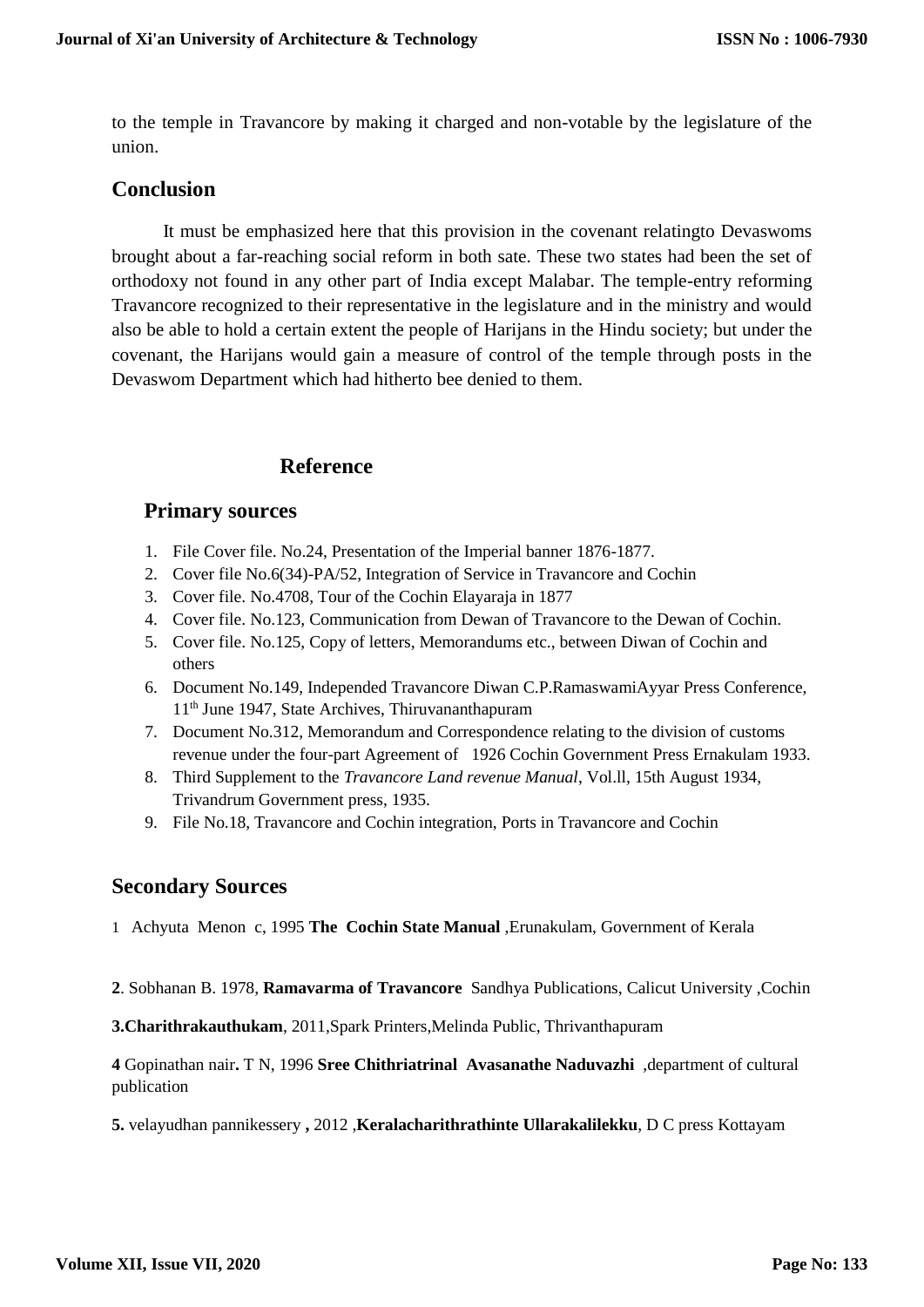to the temple in Travancore by making it charged and non-votable by the legislature of the union.

#### **Conclusion**

 It must be emphasized here that this provision in the covenant relatingto Devaswoms brought about a far-reaching social reform in both sate. These two states had been the set of orthodoxy not found in any other part of India except Malabar. The temple-entry reforming Travancore recognized to their representative in the legislature and in the ministry and would also be able to hold a certain extent the people of Harijans in the Hindu society; but under the covenant, the Harijans would gain a measure of control of the temple through posts in the Devaswom Department which had hitherto bee denied to them.

#### **Reference**

#### **Primary sources**

- 1. File Cover file. No.24, Presentation of the Imperial banner 1876-1877.
- 2. Cover file No.6(34)-PA/52, Integration of Service in Travancore and Cochin
- 3. Cover file. No.4708, Tour of the Cochin Elayaraja in 1877
- 4. Cover file. No.123, Communication from Dewan of Travancore to the Dewan of Cochin.
- 5. Cover file. No.125, Copy of letters, Memorandums etc., between Diwan of Cochin and others
- 6. Document No.149, Independed Travancore Diwan C.P.RamaswamiAyyar Press Conference, 11th June 1947, State Archives, Thiruvananthapuram
- 7. Document No.312, Memorandum and Correspondence relating to the division of customs revenue under the four-part Agreement of 1926 Cochin Government Press Ernakulam 1933.
- 8. Third Supplement to the *Travancore Land revenue Manual*, Vol.ll, 15th August 1934, Trivandrum Government press, 1935.
- 9. File No.18, Travancore and Cochin integration, Ports in Travancore and Cochin

#### **Secondary Sources**

1 Achyuta Menon c, 1995 **The Cochin State Manual** ,Erunakulam, Government of Kerala

**2**. Sobhanan B. 1978, **Ramavarma of Travancore** Sandhya Publications, Calicut University ,Cochin

**3.Charithrakauthukam**, 2011,Spark Printers,Melinda Public, Thrivanthapuram

**4** Gopinathan nair**.** T N, 1996 **Sree Chithriatrinal Avasanathe Naduvazhi** ,department of cultural publication

**5.** velayudhan pannikessery **,** 2012 ,**Keralacharithrathinte Ullarakalilekku**, D C press Kottayam